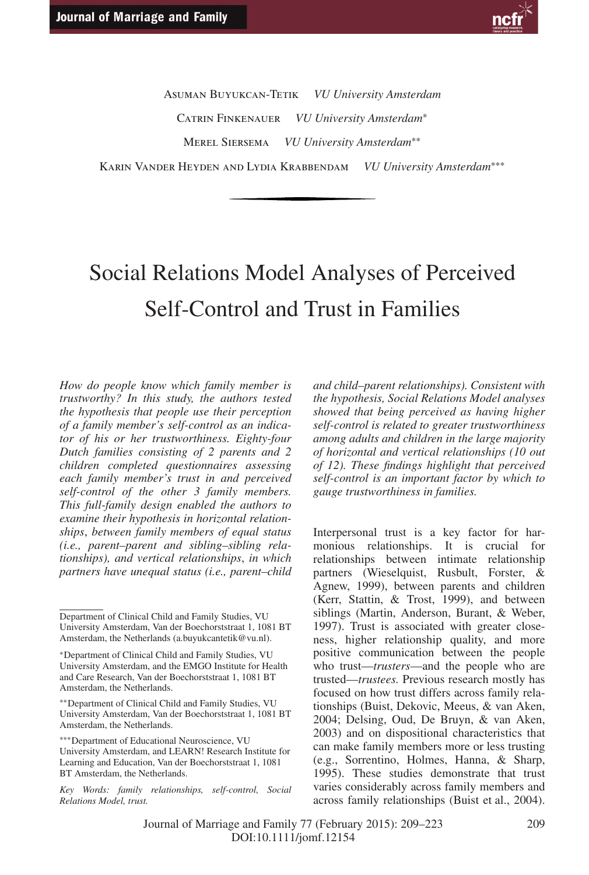

Asuman Buyukcan-Tetik *VU University Amsterdam* Catrin Finkenauer *VU University Amsterdam*<sup>∗</sup> Merel Siersema *VU University Amsterdam*∗∗ Karin Vander Heyden and Lydia Krabbendam *VU University Amsterdam*∗∗∗

# Social Relations Model Analyses of Perceived Self-Control and Trust in Families

*How do people know which family member is trustworthy? In this study, the authors tested the hypothesis that people use their perception of a family member's self-control as an indicator of his or her trustworthiness. Eighty-four Dutch families consisting of 2 parents and 2 children completed questionnaires assessing each family member's trust in and perceived self-control of the other 3 family members. This full-family design enabled the authors to examine their hypothesis in horizontal relationships*, *between family members of equal status (i.e., parent–parent and sibling–sibling relationships), and vertical relationships*, *in which partners have unequal status (i.e., parent–child*

*and child–parent relationships). Consistent with the hypothesis, Social Relations Model analyses showed that being perceived as having higher self-control is related to greater trustworthiness among adults and children in the large majority of horizontal and vertical relationships (10 out of 12). These findings highlight that perceived self-control is an important factor by which to gauge trustworthiness in families.*

Interpersonal trust is a key factor for harmonious relationships. It is crucial for relationships between intimate relationship partners (Wieselquist, Rusbult, Forster, & Agnew, 1999), between parents and children (Kerr, Stattin, & Trost, 1999), and between siblings (Martin, Anderson, Burant, & Weber, 1997). Trust is associated with greater closeness, higher relationship quality, and more positive communication between the people who trust—*trusters*—and the people who are trusted—*trustees.* Previous research mostly has focused on how trust differs across family relationships (Buist, Dekovic, Meeus, & van Aken, 2004; Delsing, Oud, De Bruyn, & van Aken, 2003) and on dispositional characteristics that can make family members more or less trusting (e.g., Sorrentino, Holmes, Hanna, & Sharp, 1995). These studies demonstrate that trust varies considerably across family members and across family relationships (Buist et al., 2004).

Department of Clinical Child and Family Studies, VU University Amsterdam, Van der Boechorststraat 1, 1081 BT Amsterdam, the Netherlands (a.buyukcantetik@vu.nl).

<sup>∗</sup>Department of Clinical Child and Family Studies, VU University Amsterdam, and the EMGO Institute for Health and Care Research, Van der Boechorststraat 1, 1081 BT Amsterdam, the Netherlands.

<sup>∗∗</sup>Department of Clinical Child and Family Studies, VU University Amsterdam, Van der Boechorststraat 1, 1081 BT Amsterdam, the Netherlands.

<sup>∗∗∗</sup>Department of Educational Neuroscience, VU University Amsterdam, and LEARN! Research Institute for Learning and Education, Van der Boechorststraat 1, 1081 BT Amsterdam, the Netherlands.

*Key Words: family relationships, self-control, Social Relations Model, trust.*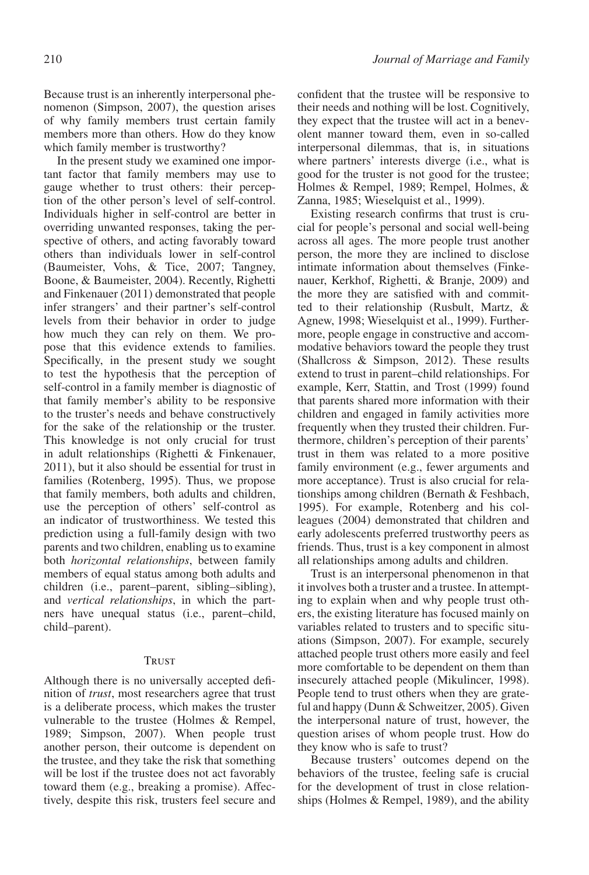Because trust is an inherently interpersonal phenomenon (Simpson, 2007), the question arises of why family members trust certain family members more than others. How do they know which family member is trustworthy?

In the present study we examined one important factor that family members may use to gauge whether to trust others: their perception of the other person's level of self-control. Individuals higher in self-control are better in overriding unwanted responses, taking the perspective of others, and acting favorably toward others than individuals lower in self-control (Baumeister, Vohs, & Tice, 2007; Tangney, Boone, & Baumeister, 2004). Recently, Righetti and Finkenauer (2011) demonstrated that people infer strangers' and their partner's self-control levels from their behavior in order to judge how much they can rely on them. We propose that this evidence extends to families. Specifically, in the present study we sought to test the hypothesis that the perception of self-control in a family member is diagnostic of that family member's ability to be responsive to the truster's needs and behave constructively for the sake of the relationship or the truster. This knowledge is not only crucial for trust in adult relationships (Righetti & Finkenauer, 2011), but it also should be essential for trust in families (Rotenberg, 1995). Thus, we propose that family members, both adults and children, use the perception of others' self-control as an indicator of trustworthiness. We tested this prediction using a full-family design with two parents and two children, enabling us to examine both *horizontal relationships*, between family members of equal status among both adults and children (i.e., parent–parent, sibling–sibling), and *vertical relationships*, in which the partners have unequal status (i.e., parent–child, child–parent).

## **TRUST**

Although there is no universally accepted definition of *trust*, most researchers agree that trust is a deliberate process, which makes the truster vulnerable to the trustee (Holmes & Rempel, 1989; Simpson, 2007). When people trust another person, their outcome is dependent on the trustee, and they take the risk that something will be lost if the trustee does not act favorably toward them (e.g., breaking a promise). Affectively, despite this risk, trusters feel secure and confident that the trustee will be responsive to their needs and nothing will be lost. Cognitively, they expect that the trustee will act in a benevolent manner toward them, even in so-called interpersonal dilemmas, that is, in situations where partners' interests diverge (i.e., what is good for the truster is not good for the trustee; Holmes & Rempel, 1989; Rempel, Holmes, & Zanna, 1985; Wieselquist et al., 1999).

Existing research confirms that trust is crucial for people's personal and social well-being across all ages. The more people trust another person, the more they are inclined to disclose intimate information about themselves (Finkenauer, Kerkhof, Righetti, & Branje, 2009) and the more they are satisfied with and committed to their relationship (Rusbult, Martz, & Agnew, 1998; Wieselquist et al., 1999). Furthermore, people engage in constructive and accommodative behaviors toward the people they trust (Shallcross & Simpson, 2012). These results extend to trust in parent–child relationships. For example, Kerr, Stattin, and Trost (1999) found that parents shared more information with their children and engaged in family activities more frequently when they trusted their children. Furthermore, children's perception of their parents' trust in them was related to a more positive family environment (e.g., fewer arguments and more acceptance). Trust is also crucial for relationships among children (Bernath & Feshbach, 1995). For example, Rotenberg and his colleagues (2004) demonstrated that children and early adolescents preferred trustworthy peers as friends. Thus, trust is a key component in almost all relationships among adults and children.

Trust is an interpersonal phenomenon in that it involves both a truster and a trustee. In attempting to explain when and why people trust others, the existing literature has focused mainly on variables related to trusters and to specific situations (Simpson, 2007). For example, securely attached people trust others more easily and feel more comfortable to be dependent on them than insecurely attached people (Mikulincer, 1998). People tend to trust others when they are grateful and happy (Dunn & Schweitzer, 2005). Given the interpersonal nature of trust, however, the question arises of whom people trust. How do they know who is safe to trust?

Because trusters' outcomes depend on the behaviors of the trustee, feeling safe is crucial for the development of trust in close relationships (Holmes & Rempel, 1989), and the ability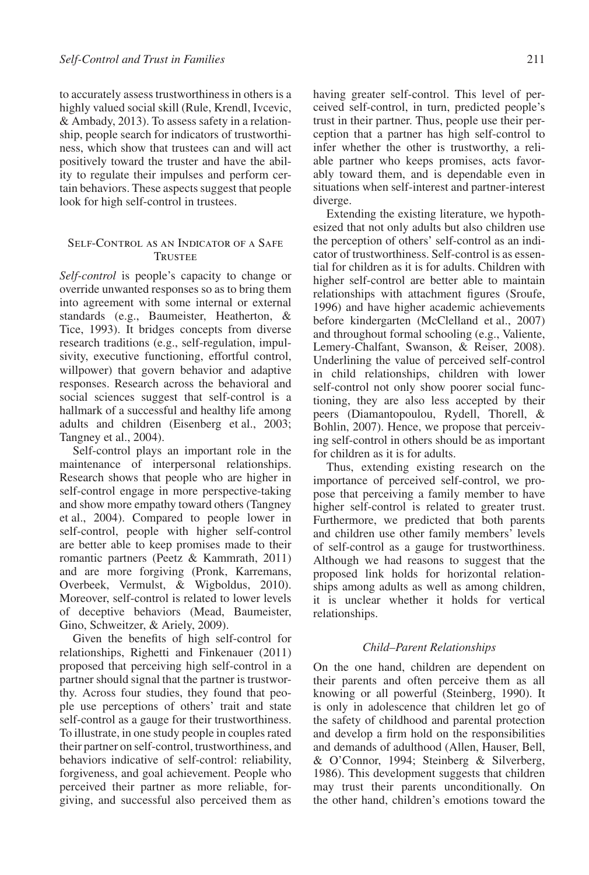to accurately assess trustworthiness in others is a highly valued social skill (Rule, Krendl, Ivcevic, & Ambady, 2013). To assess safety in a relationship, people search for indicators of trustworthiness, which show that trustees can and will act positively toward the truster and have the ability to regulate their impulses and perform certain behaviors. These aspects suggest that people look for high self-control in trustees.

## Self-Control as an Indicator of a Safe **TRUSTEE**

*Self-control* is people's capacity to change or override unwanted responses so as to bring them into agreement with some internal or external standards (e.g., Baumeister, Heatherton, & Tice, 1993). It bridges concepts from diverse research traditions (e.g., self-regulation, impulsivity, executive functioning, effortful control, willpower) that govern behavior and adaptive responses. Research across the behavioral and social sciences suggest that self-control is a hallmark of a successful and healthy life among adults and children (Eisenberg et al., 2003; Tangney et al., 2004).

Self-control plays an important role in the maintenance of interpersonal relationships. Research shows that people who are higher in self-control engage in more perspective-taking and show more empathy toward others (Tangney et al., 2004). Compared to people lower in self-control, people with higher self-control are better able to keep promises made to their romantic partners (Peetz & Kammrath, 2011) and are more forgiving (Pronk, Karremans, Overbeek, Vermulst, & Wigboldus, 2010). Moreover, self-control is related to lower levels of deceptive behaviors (Mead, Baumeister, Gino, Schweitzer, & Ariely, 2009).

Given the benefits of high self-control for relationships, Righetti and Finkenauer (2011) proposed that perceiving high self-control in a partner should signal that the partner is trustworthy. Across four studies, they found that people use perceptions of others' trait and state self-control as a gauge for their trustworthiness. To illustrate, in one study people in couples rated their partner on self-control, trustworthiness, and behaviors indicative of self-control: reliability, forgiveness, and goal achievement. People who perceived their partner as more reliable, forgiving, and successful also perceived them as

having greater self-control. This level of perceived self-control, in turn, predicted people's trust in their partner. Thus, people use their perception that a partner has high self-control to infer whether the other is trustworthy, a reliable partner who keeps promises, acts favorably toward them, and is dependable even in situations when self-interest and partner-interest diverge.

Extending the existing literature, we hypothesized that not only adults but also children use the perception of others' self-control as an indicator of trustworthiness. Self-control is as essential for children as it is for adults. Children with higher self-control are better able to maintain relationships with attachment figures (Sroufe, 1996) and have higher academic achievements before kindergarten (McClelland et al., 2007) and throughout formal schooling (e.g., Valiente, Lemery-Chalfant, Swanson, & Reiser, 2008). Underlining the value of perceived self-control in child relationships, children with lower self-control not only show poorer social functioning, they are also less accepted by their peers (Diamantopoulou, Rydell, Thorell, & Bohlin, 2007). Hence, we propose that perceiving self-control in others should be as important for children as it is for adults.

Thus, extending existing research on the importance of perceived self-control, we propose that perceiving a family member to have higher self-control is related to greater trust. Furthermore, we predicted that both parents and children use other family members' levels of self-control as a gauge for trustworthiness. Although we had reasons to suggest that the proposed link holds for horizontal relationships among adults as well as among children, it is unclear whether it holds for vertical relationships.

## *Child–Parent Relationships*

On the one hand, children are dependent on their parents and often perceive them as all knowing or all powerful (Steinberg, 1990). It is only in adolescence that children let go of the safety of childhood and parental protection and develop a firm hold on the responsibilities and demands of adulthood (Allen, Hauser, Bell, & O'Connor, 1994; Steinberg & Silverberg, 1986). This development suggests that children may trust their parents unconditionally. On the other hand, children's emotions toward the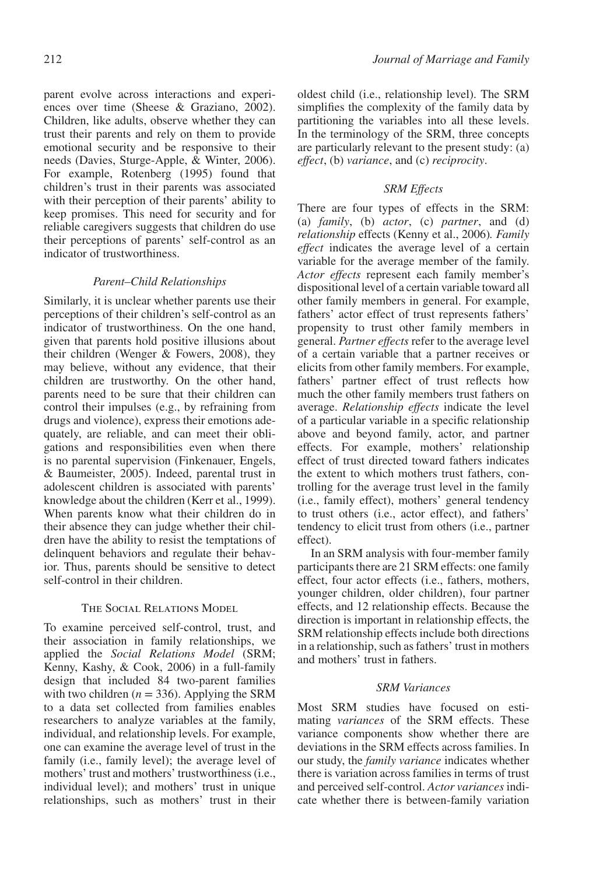parent evolve across interactions and experiences over time (Sheese & Graziano, 2002). Children, like adults, observe whether they can trust their parents and rely on them to provide emotional security and be responsive to their needs (Davies, Sturge-Apple, & Winter, 2006). For example, Rotenberg (1995) found that children's trust in their parents was associated with their perception of their parents' ability to keep promises. This need for security and for reliable caregivers suggests that children do use their perceptions of parents' self-control as an indicator of trustworthiness.

## *Parent–Child Relationships*

Similarly, it is unclear whether parents use their perceptions of their children's self-control as an indicator of trustworthiness. On the one hand, given that parents hold positive illusions about their children (Wenger & Fowers, 2008), they may believe, without any evidence, that their children are trustworthy. On the other hand, parents need to be sure that their children can control their impulses (e.g., by refraining from drugs and violence), express their emotions adequately, are reliable, and can meet their obligations and responsibilities even when there is no parental supervision (Finkenauer, Engels, & Baumeister, 2005). Indeed, parental trust in adolescent children is associated with parents' knowledge about the children (Kerr et al., 1999). When parents know what their children do in their absence they can judge whether their children have the ability to resist the temptations of delinquent behaviors and regulate their behavior. Thus, parents should be sensitive to detect self-control in their children.

## The Social Relations Model

To examine perceived self-control, trust, and their association in family relationships, we applied the *Social Relations Model* (SRM; Kenny, Kashy, & Cook, 2006) in a full-family design that included 84 two-parent families with two children ( $n = 336$ ). Applying the SRM to a data set collected from families enables researchers to analyze variables at the family, individual, and relationship levels. For example, one can examine the average level of trust in the family (i.e., family level); the average level of mothers' trust and mothers' trustworthiness (i.e., individual level); and mothers' trust in unique relationships, such as mothers' trust in their

oldest child (i.e., relationship level). The SRM simplifies the complexity of the family data by partitioning the variables into all these levels. In the terminology of the SRM, three concepts are particularly relevant to the present study: (a) *effect*, (b) *variance*, and (c) *reciprocity*.

## *SRM Effects*

There are four types of effects in the SRM: (a) *family*, (b) *actor*, (c) *partner*, and (d) *relationship* effects (Kenny et al., 2006)*. Family effect* indicates the average level of a certain variable for the average member of the family. *Actor effects* represent each family member's dispositional level of a certain variable toward all other family members in general. For example, fathers' actor effect of trust represents fathers' propensity to trust other family members in general. *Partner effects* refer to the average level of a certain variable that a partner receives or elicits from other family members. For example, fathers' partner effect of trust reflects how much the other family members trust fathers on average. *Relationship effects* indicate the level of a particular variable in a specific relationship above and beyond family, actor, and partner effects. For example, mothers' relationship effect of trust directed toward fathers indicates the extent to which mothers trust fathers, controlling for the average trust level in the family (i.e., family effect), mothers' general tendency to trust others (i.e., actor effect), and fathers' tendency to elicit trust from others (i.e., partner effect).

In an SRM analysis with four-member family participants there are 21 SRM effects: one family effect, four actor effects (i.e., fathers, mothers, younger children, older children), four partner effects, and 12 relationship effects. Because the direction is important in relationship effects, the SRM relationship effects include both directions in a relationship, such as fathers' trust in mothers and mothers' trust in fathers.

## *SRM Variances*

Most SRM studies have focused on estimating *variances* of the SRM effects. These variance components show whether there are deviations in the SRM effects across families. In our study, the *family variance* indicates whether there is variation across families in terms of trust and perceived self-control. *Actor variances* indicate whether there is between-family variation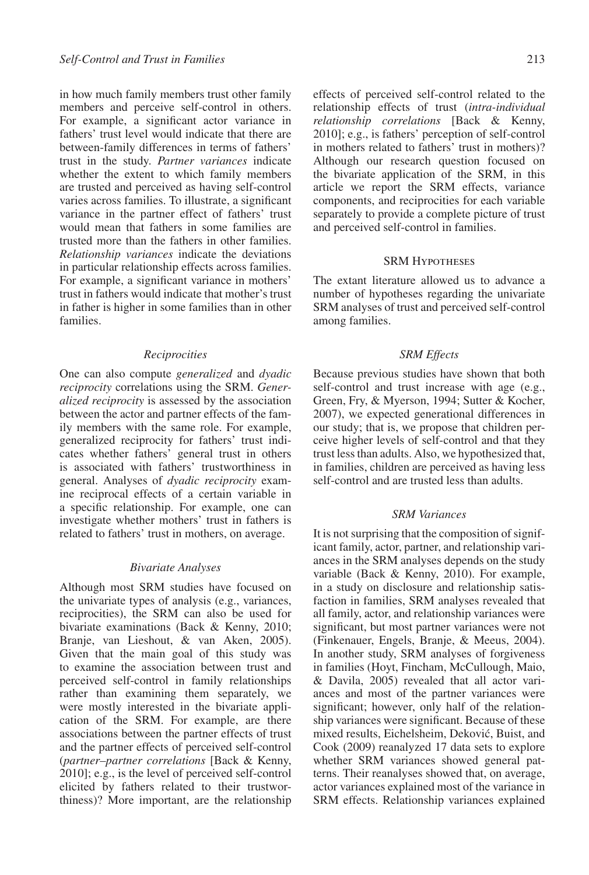in how much family members trust other family members and perceive self-control in others. For example, a significant actor variance in fathers' trust level would indicate that there are between-family differences in terms of fathers' trust in the study. *Partner variances* indicate whether the extent to which family members are trusted and perceived as having self-control varies across families. To illustrate, a significant variance in the partner effect of fathers' trust would mean that fathers in some families are trusted more than the fathers in other families. *Relationship variances* indicate the deviations in particular relationship effects across families. For example, a significant variance in mothers' trust in fathers would indicate that mother's trust in father is higher in some families than in other families.

#### *Reciprocities*

One can also compute *generalized* and *dyadic reciprocity* correlations using the SRM. *Generalized reciprocity* is assessed by the association between the actor and partner effects of the family members with the same role. For example, generalized reciprocity for fathers' trust indicates whether fathers' general trust in others is associated with fathers' trustworthiness in general. Analyses of *dyadic reciprocity* examine reciprocal effects of a certain variable in a specific relationship. For example, one can investigate whether mothers' trust in fathers is related to fathers' trust in mothers, on average.

#### *Bivariate Analyses*

Although most SRM studies have focused on the univariate types of analysis (e.g., variances, reciprocities), the SRM can also be used for bivariate examinations (Back & Kenny, 2010; Branje, van Lieshout, & van Aken, 2005). Given that the main goal of this study was to examine the association between trust and perceived self-control in family relationships rather than examining them separately, we were mostly interested in the bivariate application of the SRM. For example, are there associations between the partner effects of trust and the partner effects of perceived self-control (*partner–partner correlations* [Back & Kenny, 2010]; e.g., is the level of perceived self-control elicited by fathers related to their trustworthiness)? More important, are the relationship effects of perceived self-control related to the relationship effects of trust (*intra-individual relationship correlations* [Back & Kenny, 2010]; e.g., is fathers' perception of self-control in mothers related to fathers' trust in mothers)? Although our research question focused on the bivariate application of the SRM, in this article we report the SRM effects, variance components, and reciprocities for each variable separately to provide a complete picture of trust and perceived self-control in families.

## SRM Hypotheses

The extant literature allowed us to advance a number of hypotheses regarding the univariate SRM analyses of trust and perceived self-control among families.

## *SRM Effects*

Because previous studies have shown that both self-control and trust increase with age (e.g., Green, Fry, & Myerson, 1994; Sutter & Kocher, 2007), we expected generational differences in our study; that is, we propose that children perceive higher levels of self-control and that they trust less than adults. Also, we hypothesized that, in families, children are perceived as having less self-control and are trusted less than adults.

### *SRM Variances*

It is not surprising that the composition of significant family, actor, partner, and relationship variances in the SRM analyses depends on the study variable (Back & Kenny, 2010). For example, in a study on disclosure and relationship satisfaction in families, SRM analyses revealed that all family, actor, and relationship variances were significant, but most partner variances were not (Finkenauer, Engels, Branje, & Meeus, 2004). In another study, SRM analyses of forgiveness in families (Hoyt, Fincham, McCullough, Maio, & Davila, 2005) revealed that all actor variances and most of the partner variances were significant; however, only half of the relationship variances were significant. Because of these mixed results, Eichelsheim, Dekovic, Buist, and ´ Cook (2009) reanalyzed 17 data sets to explore whether SRM variances showed general patterns. Their reanalyses showed that, on average, actor variances explained most of the variance in SRM effects. Relationship variances explained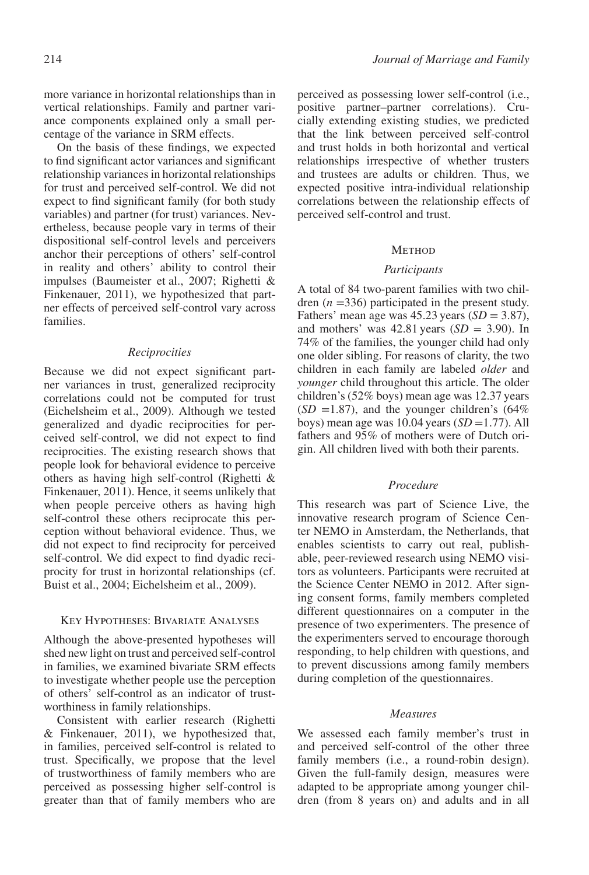more variance in horizontal relationships than in vertical relationships. Family and partner variance components explained only a small percentage of the variance in SRM effects.

On the basis of these findings, we expected to find significant actor variances and significant relationship variances in horizontal relationships for trust and perceived self-control. We did not expect to find significant family (for both study variables) and partner (for trust) variances. Nevertheless, because people vary in terms of their dispositional self-control levels and perceivers anchor their perceptions of others' self-control in reality and others' ability to control their impulses (Baumeister et al., 2007; Righetti & Finkenauer, 2011), we hypothesized that partner effects of perceived self-control vary across families.

## *Reciprocities*

Because we did not expect significant partner variances in trust, generalized reciprocity correlations could not be computed for trust (Eichelsheim et al., 2009). Although we tested generalized and dyadic reciprocities for perceived self-control, we did not expect to find reciprocities. The existing research shows that people look for behavioral evidence to perceive others as having high self-control (Righetti & Finkenauer, 2011). Hence, it seems unlikely that when people perceive others as having high self-control these others reciprocate this perception without behavioral evidence. Thus, we did not expect to find reciprocity for perceived self-control. We did expect to find dyadic reciprocity for trust in horizontal relationships (cf. Buist et al., 2004; Eichelsheim et al., 2009).

#### Key Hypotheses: Bivariate Analyses

Although the above-presented hypotheses will shed new light on trust and perceived self-control in families, we examined bivariate SRM effects to investigate whether people use the perception of others' self-control as an indicator of trustworthiness in family relationships.

Consistent with earlier research (Righetti & Finkenauer, 2011), we hypothesized that, in families, perceived self-control is related to trust. Specifically, we propose that the level of trustworthiness of family members who are perceived as possessing higher self-control is greater than that of family members who are perceived as possessing lower self-control (i.e., positive partner–partner correlations). Crucially extending existing studies, we predicted that the link between perceived self-control and trust holds in both horizontal and vertical relationships irrespective of whether trusters and trustees are adults or children. Thus, we expected positive intra-individual relationship correlations between the relationship effects of perceived self-control and trust.

#### **METHOD**

#### *Participants*

A total of 84 two-parent families with two children (*n* =336) participated in the present study. Fathers' mean age was  $45.23$  years  $(SD = 3.87)$ , and mothers' was  $42.81$  years  $(SD = 3.90)$ . In 74% of the families, the younger child had only one older sibling. For reasons of clarity, the two children in each family are labeled *older* and *younger* child throughout this article. The older children's (52% boys) mean age was 12.37 years  $(SD = 1.87)$ , and the younger children's  $(64\%$ boys) mean age was  $10.04$  years  $(SD = 1.77)$ . All fathers and 95% of mothers were of Dutch origin. All children lived with both their parents.

## *Procedure*

This research was part of Science Live, the innovative research program of Science Center NEMO in Amsterdam, the Netherlands, that enables scientists to carry out real, publishable, peer-reviewed research using NEMO visitors as volunteers. Participants were recruited at the Science Center NEMO in 2012. After signing consent forms, family members completed different questionnaires on a computer in the presence of two experimenters. The presence of the experimenters served to encourage thorough responding, to help children with questions, and to prevent discussions among family members during completion of the questionnaires.

#### *Measures*

We assessed each family member's trust in and perceived self-control of the other three family members (i.e., a round-robin design). Given the full-family design, measures were adapted to be appropriate among younger children (from 8 years on) and adults and in all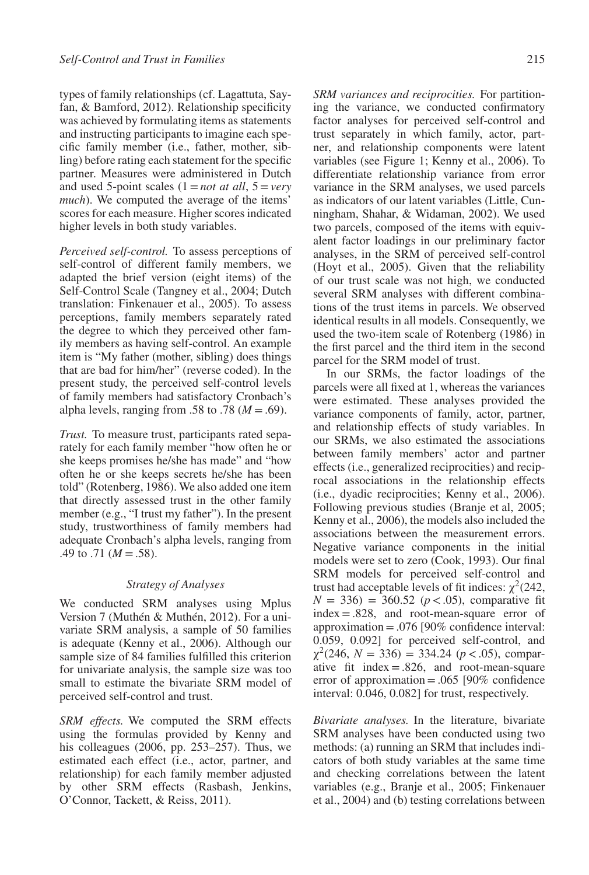types of family relationships (cf. Lagattuta, Sayfan, & Bamford, 2012). Relationship specificity was achieved by formulating items as statements and instructing participants to imagine each specific family member (i.e., father, mother, sibling) before rating each statement for the specific partner. Measures were administered in Dutch and used 5-point scales (1=*not at all*, 5=*very much*). We computed the average of the items' scores for each measure. Higher scores indicated higher levels in both study variables.

*Perceived self-control.* To assess perceptions of self-control of different family members, we adapted the brief version (eight items) of the Self-Control Scale (Tangney et al., 2004; Dutch translation: Finkenauer et al., 2005). To assess perceptions, family members separately rated the degree to which they perceived other family members as having self-control. An example item is "My father (mother, sibling) does things that are bad for him/her" (reverse coded). In the present study, the perceived self-control levels of family members had satisfactory Cronbach's alpha levels, ranging from .58 to .78 ( $M = .69$ ).

*Trust.* To measure trust, participants rated separately for each family member "how often he or she keeps promises he/she has made" and "how often he or she keeps secrets he/she has been told" (Rotenberg, 1986). We also added one item that directly assessed trust in the other family member (e.g., "I trust my father"). In the present study, trustworthiness of family members had adequate Cronbach's alpha levels, ranging from .49 to .71 ( $M = .58$ ).

### *Strategy of Analyses*

We conducted SRM analyses using Mplus Version 7 (Muthén & Muthén, 2012). For a univariate SRM analysis, a sample of 50 families is adequate (Kenny et al., 2006). Although our sample size of 84 families fulfilled this criterion for univariate analysis, the sample size was too small to estimate the bivariate SRM model of perceived self-control and trust.

*SRM effects.* We computed the SRM effects using the formulas provided by Kenny and his colleagues (2006, pp. 253–257). Thus, we estimated each effect (i.e., actor, partner, and relationship) for each family member adjusted by other SRM effects (Rasbash, Jenkins, O'Connor, Tackett, & Reiss, 2011).

*SRM variances and reciprocities.* For partitioning the variance, we conducted confirmatory factor analyses for perceived self-control and trust separately in which family, actor, partner, and relationship components were latent variables (see Figure 1; Kenny et al., 2006). To differentiate relationship variance from error variance in the SRM analyses, we used parcels as indicators of our latent variables (Little, Cunningham, Shahar, & Widaman, 2002). We used two parcels, composed of the items with equivalent factor loadings in our preliminary factor analyses, in the SRM of perceived self-control (Hoyt et al., 2005). Given that the reliability of our trust scale was not high, we conducted several SRM analyses with different combinations of the trust items in parcels. We observed identical results in all models. Consequently, we used the two-item scale of Rotenberg (1986) in the first parcel and the third item in the second parcel for the SRM model of trust.

In our SRMs, the factor loadings of the parcels were all fixed at 1, whereas the variances were estimated. These analyses provided the variance components of family, actor, partner, and relationship effects of study variables. In our SRMs, we also estimated the associations between family members' actor and partner effects (i.e., generalized reciprocities) and reciprocal associations in the relationship effects (i.e., dyadic reciprocities; Kenny et al., 2006). Following previous studies (Branje et al, 2005; Kenny et al., 2006), the models also included the associations between the measurement errors. Negative variance components in the initial models were set to zero (Cook, 1993). Our final SRM models for perceived self-control and trust had acceptable levels of fit indices:  $χ<sup>2</sup>(242,$  $N = 336$  = 360.52 ( $p < .05$ ), comparative fit index=.828, and root-mean-square error of approximation=.076 [90% confidence interval: 0.059, 0.092] for perceived self-control, and  $\chi^2(246, N = 336) = 334.24 \; (p < .05)$ , comparative fit index  $= .826$ , and root-mean-square error of approximation  $= .065$  [90% confidence interval: 0.046, 0.082] for trust, respectively.

*Bivariate analyses.* In the literature, bivariate SRM analyses have been conducted using two methods: (a) running an SRM that includes indicators of both study variables at the same time and checking correlations between the latent variables (e.g., Branje et al., 2005; Finkenauer et al., 2004) and (b) testing correlations between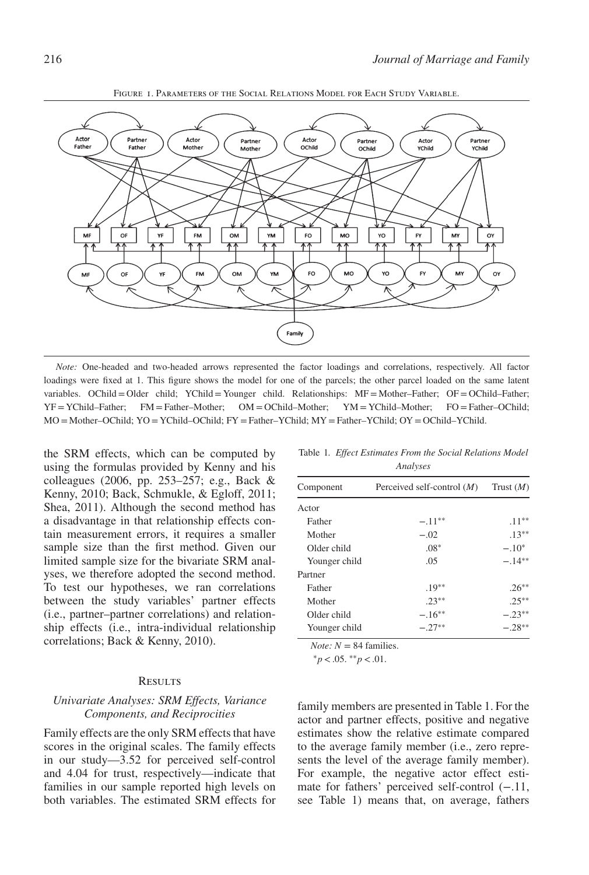

Figure 1. Parameters of the Social Relations Model for Each Study Variable.

*Note:* One-headed and two-headed arrows represented the factor loadings and correlations, respectively. All factor loadings were fixed at 1. This figure shows the model for one of the parcels; the other parcel loaded on the same latent variables. OChild= Older child; YChild= Younger child. Relationships: MF= Mother–Father; OF= OChild–Father; YF= YChild–Father; FM =Father–Mother; OM = OChild–Mother; YM = YChild–Mother; FO =Father–OChild; MO = Mother–OChild; YO = YChild–OChild; FY =Father–YChild; MY =Father–YChild; OY = OChild–YChild.

the SRM effects, which can be computed by using the formulas provided by Kenny and his colleagues (2006, pp. 253–257; e.g., Back & Kenny, 2010; Back, Schmukle, & Egloff, 2011; Shea, 2011). Although the second method has a disadvantage in that relationship effects contain measurement errors, it requires a smaller sample size than the first method. Given our limited sample size for the bivariate SRM analyses, we therefore adopted the second method. To test our hypotheses, we ran correlations between the study variables' partner effects (i.e., partner–partner correlations) and relationship effects (i.e., intra-individual relationship correlations; Back & Kenny, 2010).

## **RESULTS**

## *Univariate Analyses: SRM Effects, Variance Components, and Reciprocities*

Family effects are the only SRM effects that have scores in the original scales. The family effects in our study—3.52 for perceived self-control and 4.04 for trust, respectively—indicate that families in our sample reported high levels on both variables. The estimated SRM effects for

Table 1*. Effect Estimates From the Social Relations Model Analyses*

| Component     | Perceived self-control $(M)$ | Trust $(M)$ |  |
|---------------|------------------------------|-------------|--|
| Actor         |                              |             |  |
| Father        | $-.11***$                    | $.11**$     |  |
| Mother        | $-.02$                       | $.13***$    |  |
| Older child   | $.08*$                       | $-.10*$     |  |
| Younger child | .05                          | $-.14***$   |  |
| Partner       |                              |             |  |
| Father        | $.19***$                     | $.26**$     |  |
| Mother        | $.23***$                     | $.25***$    |  |
| Older child   | $-.16**$                     | $-.23**$    |  |
| Younger child | $-.27**$                     | $-.28**$    |  |

*Note:*  $N = 84$  families.

<sup>∗</sup>*p<*.05. ∗∗*p<*.01.

family members are presented in Table 1. For the actor and partner effects, positive and negative estimates show the relative estimate compared to the average family member (i.e., zero represents the level of the average family member). For example, the negative actor effect estimate for fathers' perceived self-control (−.11, see Table 1) means that, on average, fathers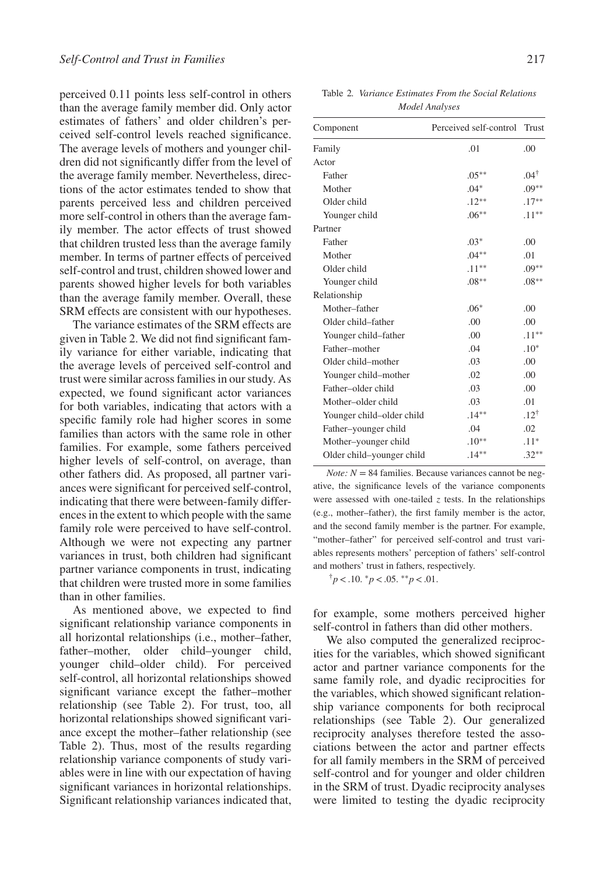perceived 0.11 points less self-control in others than the average family member did. Only actor estimates of fathers' and older children's perceived self-control levels reached significance. The average levels of mothers and younger children did not significantly differ from the level of the average family member. Nevertheless, directions of the actor estimates tended to show that parents perceived less and children perceived more self-control in others than the average family member. The actor effects of trust showed that children trusted less than the average family member. In terms of partner effects of perceived self-control and trust, children showed lower and parents showed higher levels for both variables than the average family member. Overall, these SRM effects are consistent with our hypotheses.

The variance estimates of the SRM effects are given in Table 2. We did not find significant family variance for either variable, indicating that the average levels of perceived self-control and trust were similar across families in our study. As expected, we found significant actor variances for both variables, indicating that actors with a specific family role had higher scores in some families than actors with the same role in other families. For example, some fathers perceived higher levels of self-control, on average, than other fathers did. As proposed, all partner variances were significant for perceived self-control, indicating that there were between-family differences in the extent to which people with the same family role were perceived to have self-control. Although we were not expecting any partner variances in trust, both children had significant partner variance components in trust, indicating that children were trusted more in some families than in other families.

As mentioned above, we expected to find significant relationship variance components in all horizontal relationships (i.e., mother–father, father–mother, older child–younger child, younger child–older child). For perceived self-control, all horizontal relationships showed significant variance except the father–mother relationship (see Table 2). For trust, too, all horizontal relationships showed significant variance except the mother–father relationship (see Table 2). Thus, most of the results regarding relationship variance components of study variables were in line with our expectation of having significant variances in horizontal relationships. Significant relationship variances indicated that,

|                | Table 2. Variance Estimates From the Social Relations |  |  |  |  |
|----------------|-------------------------------------------------------|--|--|--|--|
| Model Analyses |                                                       |  |  |  |  |

| Component                 | Perceived self-control | Trust           |
|---------------------------|------------------------|-----------------|
| Family                    | .01                    | .00             |
| Actor                     |                        |                 |
| Father                    | $.05**$                | $.04^{\dagger}$ |
| Mother                    | $.04*$                 | $.09**$         |
| Older child               | $.12***$               | $.17**$         |
| Younger child             | $.06***$               | $.11***$        |
| Partner                   |                        |                 |
| Father                    | $.03*$                 | .00             |
| Mother                    | $.04***$               | .01             |
| Older child               | $.11***$               | $.09**$         |
| Younger child             | $.08***$               | $.08***$        |
| Relationship              |                        |                 |
| Mother-father             | $.06*$                 | .00             |
| Older child-father        | .00                    | .00             |
| Younger child-father      | .00.                   | $.11***$        |
| Father-mother             | .04                    | $.10*$          |
| Older child-mother        | .03                    | .00             |
| Younger child-mother      | .02                    | .00             |
| Father-older child        | .03                    | .00             |
| Mother-older child        | .03                    | .01             |
| Younger child-older child | $.14***$               | $.12^{\dagger}$ |
| Father-younger child      | .04                    | .02             |
| Mother-younger child      | $.10**$                | $.11*$          |
| Older child-younger child | $.14***$               | $.32***$        |

*Note:*  $N = 84$  families. Because variances cannot be negative, the significance levels of the variance components were assessed with one-tailed *z* tests. In the relationships (e.g., mother–father), the first family member is the actor, and the second family member is the partner. For example, "mother–father" for perceived self-control and trust variables represents mothers' perception of fathers' self-control and mothers' trust in fathers, respectively.

†*p<*.10. <sup>∗</sup>*p<*.05. ∗∗*p<*.01.

for example, some mothers perceived higher self-control in fathers than did other mothers.

We also computed the generalized reciprocities for the variables, which showed significant actor and partner variance components for the same family role, and dyadic reciprocities for the variables, which showed significant relationship variance components for both reciprocal relationships (see Table 2). Our generalized reciprocity analyses therefore tested the associations between the actor and partner effects for all family members in the SRM of perceived self-control and for younger and older children in the SRM of trust. Dyadic reciprocity analyses were limited to testing the dyadic reciprocity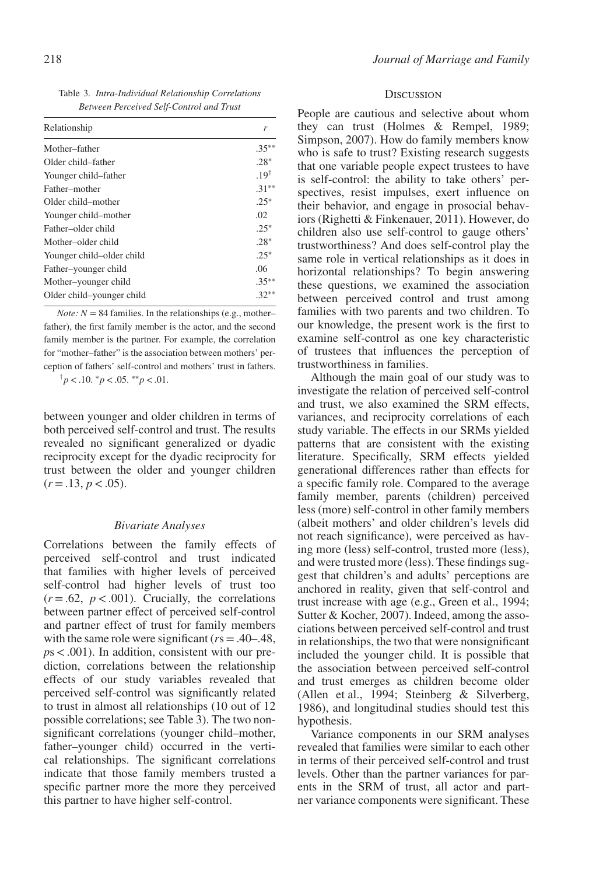Table 3*. Intra-Individual Relationship Correlations Between Perceived Self-Control and Trust*

| Relationship              | r                |
|---------------------------|------------------|
| Mother–father             | $.35***$         |
| Older child–father        | $.28*$           |
| Younger child–father      | .19 <sup>†</sup> |
| Father-mother             | $.31***$         |
| Older child–mother        | $.25*$           |
| Younger child–mother      | .02              |
| Father-older child        | $25^*$           |
| Mother-older child        | $.28*$           |
| Younger child–older child | $.25*$           |
| Father-younger child      | .06              |
| Mother-younger child      | $.35***$         |
| Older child-younger child | $.32**$          |

*Note:*  $N = 84$  families. In the relationships (e.g., mother– father), the first family member is the actor, and the second family member is the partner. For example, the correlation for "mother–father" is the association between mothers' perception of fathers' self-control and mothers' trust in fathers.

†*p<*.10. <sup>∗</sup>*p<*.05. ∗∗*p<*.01.

between younger and older children in terms of both perceived self-control and trust. The results revealed no significant generalized or dyadic reciprocity except for the dyadic reciprocity for trust between the older and younger children  $(r = .13, p < .05)$ .

#### *Bivariate Analyses*

Correlations between the family effects of perceived self-control and trust indicated that families with higher levels of perceived self-control had higher levels of trust too  $(r=.62, p<.001)$ . Crucially, the correlations between partner effect of perceived self-control and partner effect of trust for family members with the same role were significant ( $rs = .40-.48$ , *p*s*<*.001). In addition, consistent with our prediction, correlations between the relationship effects of our study variables revealed that perceived self-control was significantly related to trust in almost all relationships (10 out of 12 possible correlations; see Table 3). The two nonsignificant correlations (younger child–mother, father–younger child) occurred in the vertical relationships. The significant correlations indicate that those family members trusted a specific partner more the more they perceived this partner to have higher self-control.

#### **DISCUSSION**

People are cautious and selective about whom they can trust (Holmes & Rempel, 1989; Simpson, 2007). How do family members know who is safe to trust? Existing research suggests that one variable people expect trustees to have is self-control: the ability to take others' perspectives, resist impulses, exert influence on their behavior, and engage in prosocial behaviors (Righetti & Finkenauer, 2011). However, do children also use self-control to gauge others' trustworthiness? And does self-control play the same role in vertical relationships as it does in horizontal relationships? To begin answering these questions, we examined the association between perceived control and trust among families with two parents and two children. To our knowledge, the present work is the first to examine self-control as one key characteristic of trustees that influences the perception of trustworthiness in families.

Although the main goal of our study was to investigate the relation of perceived self-control and trust, we also examined the SRM effects, variances, and reciprocity correlations of each study variable. The effects in our SRMs yielded patterns that are consistent with the existing literature. Specifically, SRM effects yielded generational differences rather than effects for a specific family role. Compared to the average family member, parents (children) perceived less (more) self-control in other family members (albeit mothers' and older children's levels did not reach significance), were perceived as having more (less) self-control, trusted more (less), and were trusted more (less). These findings suggest that children's and adults' perceptions are anchored in reality, given that self-control and trust increase with age (e.g., Green et al., 1994; Sutter & Kocher, 2007). Indeed, among the associations between perceived self-control and trust in relationships, the two that were nonsignificant included the younger child. It is possible that the association between perceived self-control and trust emerges as children become older (Allen et al., 1994; Steinberg & Silverberg, 1986), and longitudinal studies should test this hypothesis.

Variance components in our SRM analyses revealed that families were similar to each other in terms of their perceived self-control and trust levels. Other than the partner variances for parents in the SRM of trust, all actor and partner variance components were significant. These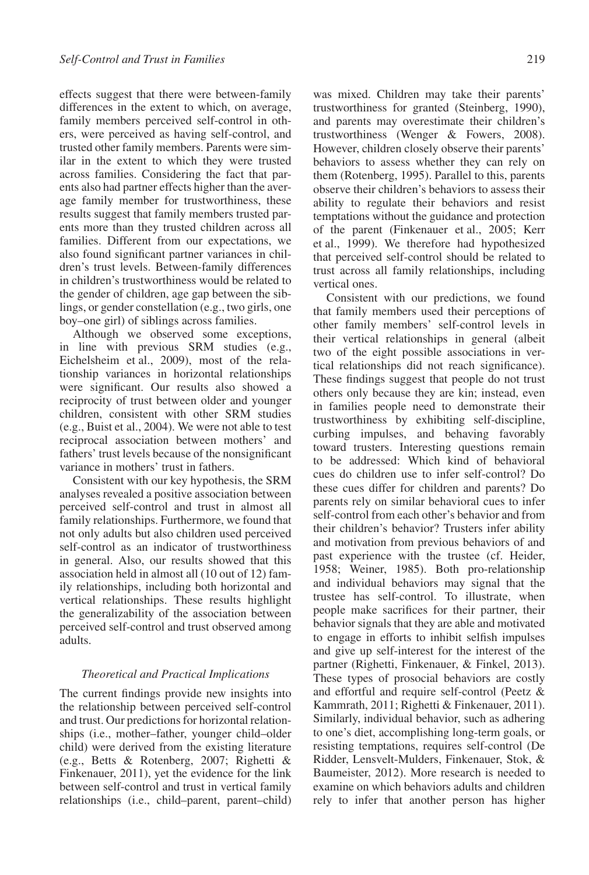effects suggest that there were between-family differences in the extent to which, on average, family members perceived self-control in others, were perceived as having self-control, and trusted other family members. Parents were similar in the extent to which they were trusted across families. Considering the fact that parents also had partner effects higher than the average family member for trustworthiness, these results suggest that family members trusted parents more than they trusted children across all families. Different from our expectations, we also found significant partner variances in children's trust levels. Between-family differences in children's trustworthiness would be related to the gender of children, age gap between the siblings, or gender constellation (e.g., two girls, one boy–one girl) of siblings across families.

Although we observed some exceptions, in line with previous SRM studies (e.g., Eichelsheim et al., 2009), most of the relationship variances in horizontal relationships were significant. Our results also showed a reciprocity of trust between older and younger children, consistent with other SRM studies (e.g., Buist et al., 2004). We were not able to test reciprocal association between mothers' and fathers' trust levels because of the nonsignificant variance in mothers' trust in fathers.

Consistent with our key hypothesis, the SRM analyses revealed a positive association between perceived self-control and trust in almost all family relationships. Furthermore, we found that not only adults but also children used perceived self-control as an indicator of trustworthiness in general. Also, our results showed that this association held in almost all (10 out of 12) family relationships, including both horizontal and vertical relationships. These results highlight the generalizability of the association between perceived self-control and trust observed among adults.

#### *Theoretical and Practical Implications*

The current findings provide new insights into the relationship between perceived self-control and trust. Our predictions for horizontal relationships (i.e., mother–father, younger child–older child) were derived from the existing literature (e.g., Betts & Rotenberg, 2007; Righetti & Finkenauer, 2011), yet the evidence for the link between self-control and trust in vertical family relationships (i.e., child–parent, parent–child)

was mixed. Children may take their parents' trustworthiness for granted (Steinberg, 1990), and parents may overestimate their children's trustworthiness (Wenger & Fowers, 2008). However, children closely observe their parents' behaviors to assess whether they can rely on them (Rotenberg, 1995). Parallel to this, parents observe their children's behaviors to assess their ability to regulate their behaviors and resist temptations without the guidance and protection of the parent (Finkenauer et al., 2005; Kerr et al., 1999). We therefore had hypothesized that perceived self-control should be related to trust across all family relationships, including vertical ones.

Consistent with our predictions, we found that family members used their perceptions of other family members' self-control levels in their vertical relationships in general (albeit two of the eight possible associations in vertical relationships did not reach significance). These findings suggest that people do not trust others only because they are kin; instead, even in families people need to demonstrate their trustworthiness by exhibiting self-discipline, curbing impulses, and behaving favorably toward trusters. Interesting questions remain to be addressed: Which kind of behavioral cues do children use to infer self-control? Do these cues differ for children and parents? Do parents rely on similar behavioral cues to infer self-control from each other's behavior and from their children's behavior? Trusters infer ability and motivation from previous behaviors of and past experience with the trustee (cf. Heider, 1958; Weiner, 1985). Both pro-relationship and individual behaviors may signal that the trustee has self-control. To illustrate, when people make sacrifices for their partner, their behavior signals that they are able and motivated to engage in efforts to inhibit selfish impulses and give up self-interest for the interest of the partner (Righetti, Finkenauer, & Finkel, 2013). These types of prosocial behaviors are costly and effortful and require self-control (Peetz & Kammrath, 2011; Righetti & Finkenauer, 2011). Similarly, individual behavior, such as adhering to one's diet, accomplishing long-term goals, or resisting temptations, requires self-control (De Ridder, Lensvelt-Mulders, Finkenauer, Stok, & Baumeister, 2012). More research is needed to examine on which behaviors adults and children rely to infer that another person has higher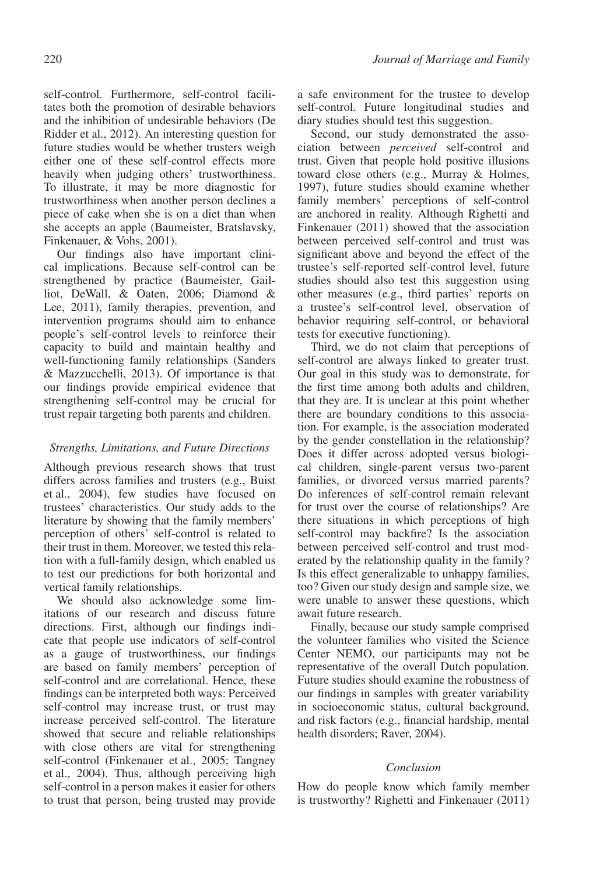self-control. Furthermore, self-control facilitates both the promotion of desirable behaviors and the inhibition of undesirable behaviors (De Ridder et al., 2012). An interesting question for future studies would be whether trusters weigh either one of these self-control effects more heavily when judging others' trustworthiness. To illustrate, it may be more diagnostic for trustworthiness when another person declines a piece of cake when she is on a diet than when she accepts an apple (Baumeister, Bratslavsky, Finkenauer, & Vohs, 2001).

Our findings also have important clinical implications. Because self-control can be strengthened by practice (Baumeister, Gailliot, DeWall, & Oaten, 2006; Diamond & Lee, 2011), family therapies, prevention, and intervention programs should aim to enhance people's self-control levels to reinforce their capacity to build and maintain healthy and well-functioning family relationships (Sanders & Mazzucchelli, 2013). Of importance is that our findings provide empirical evidence that strengthening self-control may be crucial for trust repair targeting both parents and children.

## *Strengths, Limitations, and Future Directions*

Although previous research shows that trust differs across families and trusters (e.g., Buist et al., 2004), few studies have focused on trustees' characteristics. Our study adds to the literature by showing that the family members' perception of others' self-control is related to their trust in them. Moreover, we tested this relation with a full-family design, which enabled us to test our predictions for both horizontal and vertical family relationships.

We should also acknowledge some limitations of our research and discuss future directions. First, although our findings indicate that people use indicators of self-control as a gauge of trustworthiness, our findings are based on family members' perception of self-control and are correlational. Hence, these findings can be interpreted both ways: Perceived self-control may increase trust, or trust may increase perceived self-control. The literature showed that secure and reliable relationships with close others are vital for strengthening self-control (Finkenauer et al., 2005; Tangney et al., 2004). Thus, although perceiving high self-control in a person makes it easier for others to trust that person, being trusted may provide a safe environment for the trustee to develop self-control. Future longitudinal studies and diary studies should test this suggestion.

Second, our study demonstrated the association between *perceived* self-control and trust. Given that people hold positive illusions toward close others (e.g., Murray & Holmes, 1997), future studies should examine whether family members' perceptions of self-control are anchored in reality. Although Righetti and Finkenauer (2011) showed that the association between perceived self-control and trust was significant above and beyond the effect of the trustee's self-reported self-control level, future studies should also test this suggestion using other measures (e.g., third parties' reports on a trustee's self-control level, observation of behavior requiring self-control, or behavioral tests for executive functioning).

Third, we do not claim that perceptions of self-control are always linked to greater trust. Our goal in this study was to demonstrate, for the first time among both adults and children, that they are. It is unclear at this point whether there are boundary conditions to this association. For example, is the association moderated by the gender constellation in the relationship? Does it differ across adopted versus biological children, single-parent versus two-parent families, or divorced versus married parents? Do inferences of self-control remain relevant for trust over the course of relationships? Are there situations in which perceptions of high self-control may backfire? Is the association between perceived self-control and trust moderated by the relationship quality in the family? Is this effect generalizable to unhappy families, too? Given our study design and sample size, we were unable to answer these questions, which await future research.

Finally, because our study sample comprised the volunteer families who visited the Science Center NEMO, our participants may not be representative of the overall Dutch population. Future studies should examine the robustness of our findings in samples with greater variability in socioeconomic status, cultural background, and risk factors (e.g., financial hardship, mental health disorders; Raver, 2004).

## *Conclusion*

How do people know which family member is trustworthy? Righetti and Finkenauer (2011)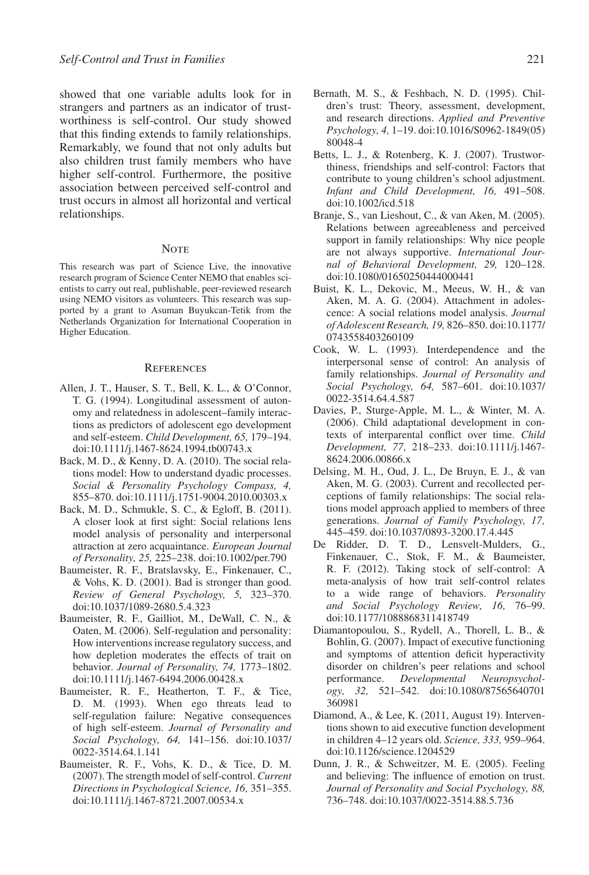showed that one variable adults look for in strangers and partners as an indicator of trustworthiness is self-control. Our study showed that this finding extends to family relationships. Remarkably, we found that not only adults but also children trust family members who have higher self-control. Furthermore, the positive association between perceived self-control and trust occurs in almost all horizontal and vertical relationships.

## **NOTE**

This research was part of Science Live, the innovative research program of Science Center NEMO that enables scientists to carry out real, publishable, peer-reviewed research using NEMO visitors as volunteers. This research was supported by a grant to Asuman Buyukcan-Tetik from the Netherlands Organization for International Cooperation in Higher Education.

#### **REFERENCES**

- Allen, J. T., Hauser, S. T., Bell, K. L., & O'Connor, T. G. (1994). Longitudinal assessment of autonomy and relatedness in adolescent–family interactions as predictors of adolescent ego development and self-esteem. *Child Development, 65,* 179–194. doi:10.1111/j.1467-8624.1994.tb00743.x
- Back, M. D., & Kenny, D. A. (2010). The social relations model: How to understand dyadic processes. *Social & Personality Psychology Compass, 4,* 855–870. doi:10.1111/j.1751-9004.2010.00303.x
- Back, M. D., Schmukle, S. C., & Egloff, B. (2011). A closer look at first sight: Social relations lens model analysis of personality and interpersonal attraction at zero acquaintance. *European Journal of Personality, 25,* 225–238. doi:10.1002/per.790
- Baumeister, R. F., Bratslavsky, E., Finkenauer, C., & Vohs, K. D. (2001). Bad is stronger than good. *Review of General Psychology, 5,* 323–370. doi:10.1037/1089-2680.5.4.323
- Baumeister, R. F., Gailliot, M., DeWall, C. N., & Oaten, M. (2006). Self-regulation and personality: How interventions increase regulatory success, and how depletion moderates the effects of trait on behavior. *Journal of Personality, 74,* 1773–1802. doi:10.1111/j.1467-6494.2006.00428.x
- Baumeister, R. F., Heatherton, T. F., & Tice, D. M. (1993). When ego threats lead to self-regulation failure: Negative consequences of high self-esteem. *Journal of Personality and Social Psychology, 64,* 141–156. doi:10.1037/ 0022-3514.64.1.141
- Baumeister, R. F., Vohs, K. D., & Tice, D. M. (2007). The strength model of self-control. *Current Directions in Psychological Science, 16,* 351–355. doi:10.1111/j.1467-8721.2007.00534.x
- Bernath, M. S., & Feshbach, N. D. (1995). Children's trust: Theory, assessment, development, and research directions. *Applied and Preventive Psychology, 4,* 1–19. doi:10.1016/S0962-1849(05) 80048-4
- Betts, L. J., & Rotenberg, K. J. (2007). Trustworthiness, friendships and self-control: Factors that contribute to young children's school adjustment. *Infant and Child Development, 16,* 491–508. doi:10.1002/icd.518
- Branje, S., van Lieshout, C., & van Aken, M. (2005). Relations between agreeableness and perceived support in family relationships: Why nice people are not always supportive. *International Journal of Behavioral Development, 29,* 120–128. doi:10.1080/01650250444000441
- Buist, K. L., Dekovic, M., Meeus, W. H., & van Aken, M. A. G. (2004). Attachment in adolescence: A social relations model analysis. *Journal of Adolescent Research, 19,* 826–850. doi:10.1177/ 0743558403260109
- Cook, W. L. (1993). Interdependence and the interpersonal sense of control: An analysis of family relationships. *Journal of Personality and Social Psychology, 64,* 587–601. doi:10.1037/ 0022-3514.64.4.587
- Davies, P., Sturge-Apple, M. L., & Winter, M. A. (2006). Child adaptational development in contexts of interparental conflict over time. *Child Development, 77,* 218–233. doi:10.1111/j.1467- 8624.2006.00866.x
- Delsing, M. H., Oud, J. L., De Bruyn, E. J., & van Aken, M. G. (2003). Current and recollected perceptions of family relationships: The social relations model approach applied to members of three generations. *Journal of Family Psychology, 17,* 445–459. doi:10.1037/0893-3200.17.4.445
- De Ridder, D. T. D., Lensvelt-Mulders, G., Finkenauer, C., Stok, F. M., & Baumeister, R. F. (2012). Taking stock of self-control: A meta-analysis of how trait self-control relates to a wide range of behaviors. *Personality and Social Psychology Review, 16,* 76–99. doi:10.1177/1088868311418749
- Diamantopoulou, S., Rydell, A., Thorell, L. B., & Bohlin, G. (2007). Impact of executive functioning and symptoms of attention deficit hyperactivity disorder on children's peer relations and school performance. *Developmental Neuropsychology, 32,* 521–542. doi:10.1080/87565640701 360981
- Diamond, A., & Lee, K. (2011, August 19). Interventions shown to aid executive function development in children 4–12 years old. *Science, 333,* 959–964. doi:10.1126/science.1204529
- Dunn, J. R., & Schweitzer, M. E. (2005). Feeling and believing: The influence of emotion on trust. *Journal of Personality and Social Psychology, 88,* 736–748. doi:10.1037/0022-3514.88.5.736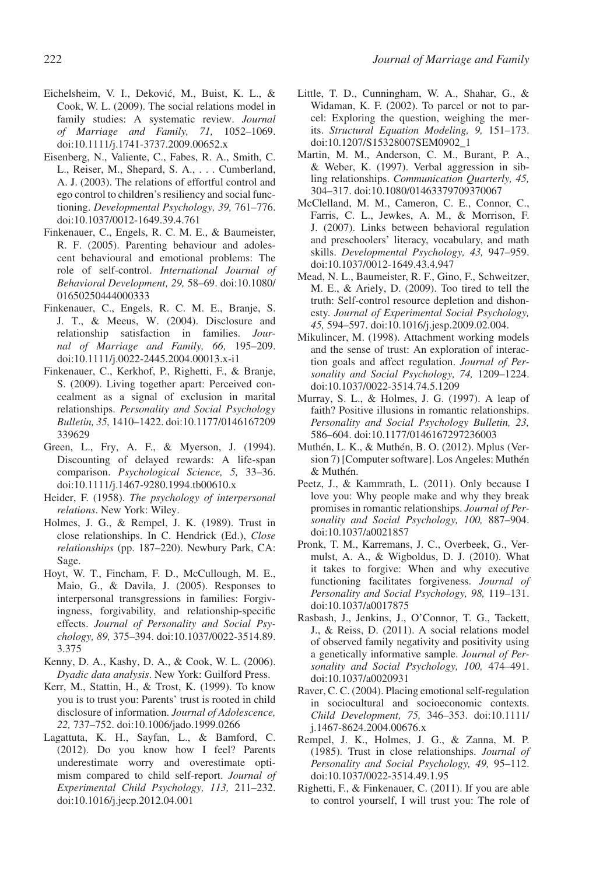- Eichelsheim, V. I., Deković, M., Buist, K. L., & Cook, W. L. (2009). The social relations model in family studies: A systematic review. *Journal of Marriage and Family, 71,* 1052–1069. doi:10.1111/j.1741-3737.2009.00652.x
- Eisenberg, N., Valiente, C., Fabes, R. A., Smith, C. L., Reiser, M., Shepard, S. A., . . . Cumberland, A. J. (2003). The relations of effortful control and ego control to children's resiliency and social functioning. *Developmental Psychology, 39,* 761–776. doi:10.1037/0012-1649.39.4.761
- Finkenauer, C., Engels, R. C. M. E., & Baumeister, R. F. (2005). Parenting behaviour and adolescent behavioural and emotional problems: The role of self-control. *International Journal of Behavioral Development, 29,* 58–69. doi:10.1080/ 01650250444000333
- Finkenauer, C., Engels, R. C. M. E., Branje, S. J. T., & Meeus, W. (2004). Disclosure and relationship satisfaction in families. *Journal of Marriage and Family, 66,* 195–209. doi:10.1111/j.0022-2445.2004.00013.x-i1
- Finkenauer, C., Kerkhof, P., Righetti, F., & Branje, S. (2009). Living together apart: Perceived concealment as a signal of exclusion in marital relationships. *Personality and Social Psychology Bulletin, 35,* 1410–1422. doi:10.1177/0146167209 339629
- Green, L., Fry, A. F., & Myerson, J. (1994). Discounting of delayed rewards: A life-span comparison. *Psychological Science, 5,* 33–36. doi:10.1111/j.1467-9280.1994.tb00610.x
- Heider, F. (1958). *The psychology of interpersonal relations*. New York: Wiley.
- Holmes, J. G., & Rempel, J. K. (1989). Trust in close relationships. In C. Hendrick (Ed.), *Close relationships* (pp. 187–220). Newbury Park, CA: Sage.
- Hoyt, W. T., Fincham, F. D., McCullough, M. E., Maio, G., & Davila, J. (2005). Responses to interpersonal transgressions in families: Forgivingness, forgivability, and relationship-specific effects. *Journal of Personality and Social Psychology, 89,* 375–394. doi:10.1037/0022-3514.89. 3.375
- Kenny, D. A., Kashy, D. A., & Cook, W. L. (2006). *Dyadic data analysis*. New York: Guilford Press.
- Kerr, M., Stattin, H., & Trost, K. (1999). To know you is to trust you: Parents' trust is rooted in child disclosure of information. *Journal of Adolescence, 22,* 737–752. doi:10.1006/jado.1999.0266
- Lagattuta, K. H., Sayfan, L., & Bamford, C. (2012). Do you know how I feel? Parents underestimate worry and overestimate optimism compared to child self-report. *Journal of Experimental Child Psychology, 113,* 211–232. doi:10.1016/j.jecp.2012.04.001
- Little, T. D., Cunningham, W. A., Shahar, G., & Widaman, K. F. (2002). To parcel or not to parcel: Exploring the question, weighing the merits. *Structural Equation Modeling, 9,* 151–173. doi:10.1207/S15328007SEM0902\_1
- Martin, M. M., Anderson, C. M., Burant, P. A., & Weber, K. (1997). Verbal aggression in sibling relationships. *Communication Quarterly, 45,* 304–317. doi:10.1080/01463379709370067
- McClelland, M. M., Cameron, C. E., Connor, C., Farris, C. L., Jewkes, A. M., & Morrison, F. J. (2007). Links between behavioral regulation and preschoolers' literacy, vocabulary, and math skills. *Developmental Psychology, 43,* 947–959. doi:10.1037/0012-1649.43.4.947
- Mead, N. L., Baumeister, R. F., Gino, F., Schweitzer, M. E., & Ariely, D. (2009). Too tired to tell the truth: Self-control resource depletion and dishonesty. *Journal of Experimental Social Psychology, 45,* 594–597. doi:10.1016/j.jesp.2009.02.004.
- Mikulincer, M. (1998). Attachment working models and the sense of trust: An exploration of interaction goals and affect regulation. *Journal of Personality and Social Psychology, 74,* 1209–1224. doi:10.1037/0022-3514.74.5.1209
- Murray, S. L., & Holmes, J. G. (1997). A leap of faith? Positive illusions in romantic relationships. *Personality and Social Psychology Bulletin, 23,* 586–604. doi:10.1177/0146167297236003
- Muthén, L. K., & Muthén, B. O. (2012). Mplus (Version 7) [Computer software]. Los Angeles: Muthén & Muthén.
- Peetz, J., & Kammrath, L. (2011). Only because I love you: Why people make and why they break promises in romantic relationships. *Journal of Personality and Social Psychology, 100,* 887–904. doi:10.1037/a0021857
- Pronk, T. M., Karremans, J. C., Overbeek, G., Vermulst, A. A., & Wigboldus, D. J. (2010). What it takes to forgive: When and why executive functioning facilitates forgiveness. *Journal of Personality and Social Psychology, 98,* 119–131. doi:10.1037/a0017875
- Rasbash, J., Jenkins, J., O'Connor, T. G., Tackett, J., & Reiss, D. (2011). A social relations model of observed family negativity and positivity using a genetically informative sample. *Journal of Personality and Social Psychology, 100,* 474–491. doi:10.1037/a0020931
- Raver, C. C. (2004). Placing emotional self-regulation in sociocultural and socioeconomic contexts. *Child Development, 75,* 346–353. doi:10.1111/ j.1467-8624.2004.00676.x
- Rempel, J. K., Holmes, J. G., & Zanna, M. P. (1985). Trust in close relationships. *Journal of Personality and Social Psychology, 49,* 95–112. doi:10.1037/0022-3514.49.1.95
- Righetti, F., & Finkenauer, C. (2011). If you are able to control yourself, I will trust you: The role of